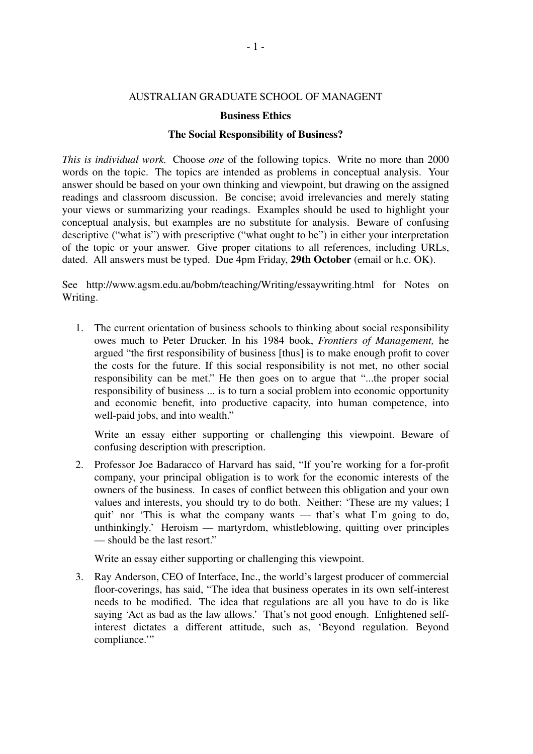## AUSTRALIAN GRADUATE SCHOOL OF MANAGENT

## **Business Ethics**

## **The Social Responsibility of Business?**

*This is individual work.* Choose *one* of the following topics. Write no more than 2000 words on the topic. The topics are intended as problems in conceptual analysis. Your answer should be based on your own thinking and viewpoint, but drawing on the assigned readings and classroom discussion. Be concise; avoid irrelevancies and merely stating your views or summarizing your readings. Examples should be used to highlight your conceptual analysis, but examples are no substitute for analysis. Beware of confusing descriptive ("what is") with prescriptive ("what ought to be") in either your interpretation of the topic or your answer. Give proper citations to all references, including URLs, dated. All answers must be typed. Due 4pm Friday, **29th October** (email or h.c. OK).

See http://www.agsm.edu.au/bobm/teaching/Writing/essaywriting.html for Notes on Writing.

1. The current orientation of business schools to thinking about social responsibility owes much to Peter Drucker. In his 1984 book, *Frontiers of Management*, he argued "the first responsibility of business [thus] is to make enough profit to cover the costs for the future. If this social responsibility is not met, no other social responsibility can be met." He then goes on to argue that "...the proper social responsibility of business ... is to turn a social problem into economic opportunity and economic benefit, into productive capacity, into human competence, into well-paid jobs, and into wealth."

Write an essay either supporting or challenging this viewpoint. Beware of confusing description with prescription.

2. Professor Joe Badaracco of Harvard has said, "If you're working for a for-profit company, your principal obligation is to work for the economic interests of the owners of the business. In cases of conflict between this obligation and your own values and interests, you should try to do both. Neither: 'These are my values; I quit' nor 'This is what the company wants — that's what I'm going to do, unthinkingly.' Heroism — martyrdom, whistleblowing, quitting over principles — should be the last resort."

Write an essay either supporting or challenging this viewpoint.

3. Ray Anderson, CEO of Interface, Inc., the world's largest producer of commercial floor-coverings, has said, "The idea that business operates in its own self-interest needs to be modified. The idea that regulations are all you have to do is like saying 'Act as bad as the law allows.' That's not good enough. Enlightened selfinterest dictates a different attitude, such as, 'Beyond regulation. Beyond compliance."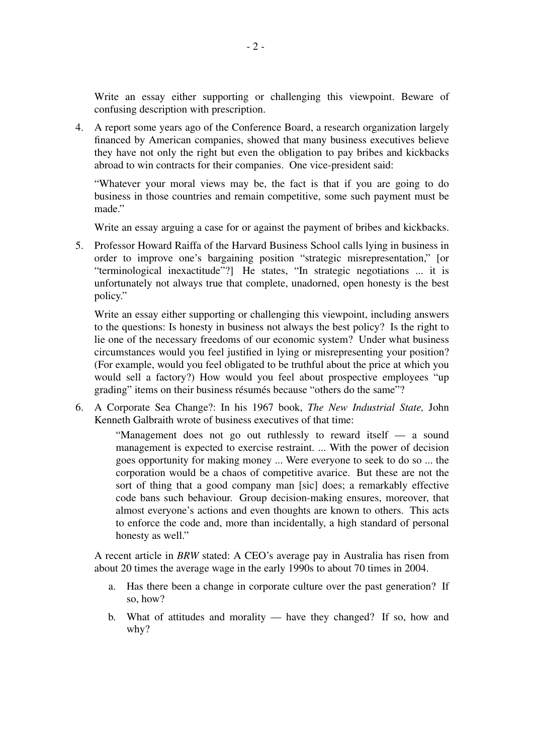Write an essay either supporting or challenging this viewpoint. Beware of confusing description with prescription.

4. A report some years ago of the Conference Board, a research organization largely financed by American companies, showed that many business executives believe they have not only the right but even the obligation to pay bribes and kickbacks abroad to win contracts for their companies. One vice-president said:

"Whatever your moral views may be, the fact is that if you are going to do business in those countries and remain competitive, some such payment must be made."

Write an essay arguing a case for or against the payment of bribes and kickbacks.

5. Professor Howard Raiffa of the Harvard Business School calls lying in business in order to improve one's bargaining position "strategic misrepresentation," [or "terminological inexactitude"?] He states, "In strategic negotiations ... it is unfortunately not always true that complete, unadorned, open honesty is the best policy."

Write an essay either supporting or challenging this viewpoint, including answers to the questions: Is honesty in business not always the best policy? Is the right to lie one of the necessary freedoms of our economic system? Under what business circumstances would you feel justified in lying or misrepresenting your position? (For example, would you feel obligated to be truthful about the price at which you would sell a factory?) How would you feel about prospective employees "up grading" items on their business résumés because "others do the same"?

6. A Corporate Sea Change?: In his 1967 book, *The New Industrial State,* John Kenneth Galbraith wrote of business executives of that time:

> "Management does not go out ruthlessly to reward itself — a sound management is expected to exercise restraint. ... With the power of decision goes opportunity for making money ... Were everyone to seek to do so ... the corporation would be a chaos of competitive avarice. But these are not the sort of thing that a good company man [sic] does; a remarkably effective code bans such behaviour. Group decision-making ensures, moreover, that almost everyone's actions and even thoughts are known to others. This acts to enforce the code and, more than incidentally, a high standard of personal honesty as well."

A recent article in *BRW* stated: A CEO's average pay in Australia has risen from about 20 times the average wage in the early 1990s to about 70 times in 2004.

- a. Has there been a change in corporate culture over the past generation? If so, how?
- b. What of attitudes and morality have they changed? If so, how and why?